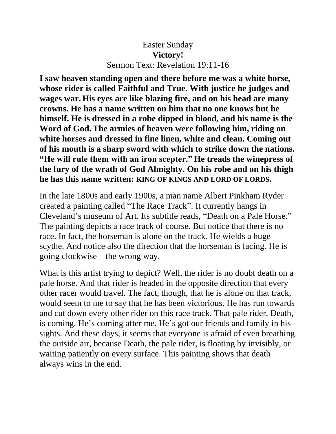## Easter Sunday **Victory!** Sermon Text: Revelation 19:11-16

**I saw heaven standing open and there before me was a white horse, whose rider is called Faithful and True. With justice he judges and wages war. His eyes are like blazing fire, and on his head are many crowns. He has a name written on him that no one knows but he himself. He is dressed in a robe dipped in blood, and his name is the Word of God. The armies of heaven were following him, riding on white horses and dressed in fine linen, white and clean. Coming out of his mouth is a sharp sword with which to strike down the nations. "He will rule them with an iron scepter." He treads the winepress of the fury of the wrath of God Almighty. On his robe and on his thigh he has this name written: KING OF KINGS AND LORD OF LORDS.** 

In the late 1800s and early 1900s, a man name Albert Pinkham Ryder created a painting called "The Race Track". It currently hangs in Cleveland's museum of Art. Its subtitle reads, "Death on a Pale Horse." The painting depicts a race track of course. But notice that there is no race. In fact, the horseman is alone on the track. He wields a huge scythe. And notice also the direction that the horseman is facing. He is going clockwise—the wrong way.

What is this artist trying to depict? Well, the rider is no doubt death on a pale horse. And that rider is headed in the opposite direction that every other racer would travel. The fact, though, that he is alone on that track, would seem to me to say that he has been victorious. He has run towards and cut down every other rider on this race track. That pale rider, Death, is coming. He's coming after me. He's got our friends and family in his sights. And these days, it seems that everyone is afraid of even breathing the outside air, because Death, the pale rider, is floating by invisibly, or waiting patiently on every surface. This painting shows that death always wins in the end.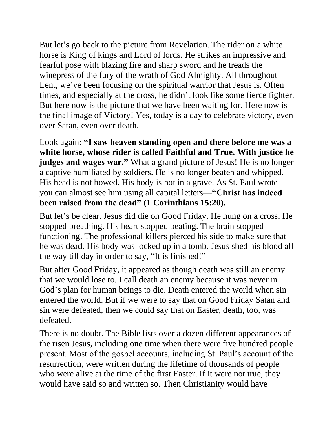But let's go back to the picture from Revelation. The rider on a white horse is King of kings and Lord of lords. He strikes an impressive and fearful pose with blazing fire and sharp sword and he treads the winepress of the fury of the wrath of God Almighty. All throughout Lent, we've been focusing on the spiritual warrior that Jesus is. Often times, and especially at the cross, he didn't look like some fierce fighter. But here now is the picture that we have been waiting for. Here now is the final image of Victory! Yes, today is a day to celebrate victory, even over Satan, even over death.

Look again: **"I saw heaven standing open and there before me was a white horse, whose rider is called Faithful and True. With justice he judges and wages war."** What a grand picture of Jesus! He is no longer a captive humiliated by soldiers. He is no longer beaten and whipped. His head is not bowed. His body is not in a grave. As St. Paul wrote you can almost see him using all capital letters—**"Christ has indeed been raised from the dead" (1 Corinthians 15:20).**

But let's be clear. Jesus did die on Good Friday. He hung on a cross. He stopped breathing. His heart stopped beating. The brain stopped functioning. The professional killers pierced his side to make sure that he was dead. His body was locked up in a tomb. Jesus shed his blood all the way till day in order to say, "It is finished!"

But after Good Friday, it appeared as though death was still an enemy that we would lose to. I call death an enemy because it was never in God's plan for human beings to die. Death entered the world when sin entered the world. But if we were to say that on Good Friday Satan and sin were defeated, then we could say that on Easter, death, too, was defeated.

There is no doubt. The Bible lists over a dozen different appearances of the risen Jesus, including one time when there were five hundred people present. Most of the gospel accounts, including St. Paul's account of the resurrection, were written during the lifetime of thousands of people who were alive at the time of the first Easter. If it were not true, they would have said so and written so. Then Christianity would have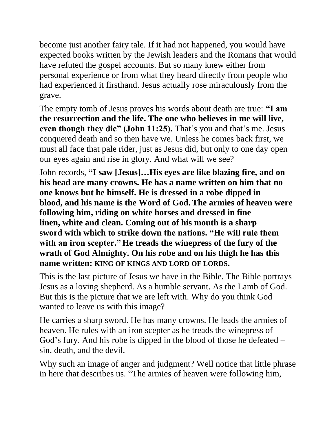become just another fairy tale. If it had not happened, you would have expected books written by the Jewish leaders and the Romans that would have refuted the gospel accounts. But so many knew either from personal experience or from what they heard directly from people who had experienced it firsthand. Jesus actually rose miraculously from the grave.

The empty tomb of Jesus proves his words about death are true: **"I am the resurrection and the life. The one who believes in me will live, even though they die" (John 11:25).** That's you and that's me. Jesus conquered death and so then have we. Unless he comes back first, we must all face that pale rider, just as Jesus did, but only to one day open our eyes again and rise in glory. And what will we see?

John records, **"I saw [Jesus]…His eyes are like blazing fire, and on his head are many crowns. He has a name written on him that no one knows but he himself. He is dressed in a robe dipped in blood, and his name is the Word of God. The armies of heaven were following him, riding on white horses and dressed in fine linen, white and clean. Coming out of his mouth is a sharp sword with which to strike down the nations. "He will rule them with an iron scepter." He treads the winepress of the fury of the wrath of God Almighty. On his robe and on his thigh he has this name written: KING OF KINGS AND LORD OF LORDS.** 

This is the last picture of Jesus we have in the Bible. The Bible portrays Jesus as a loving shepherd. As a humble servant. As the Lamb of God. But this is the picture that we are left with. Why do you think God wanted to leave us with this image?

He carries a sharp sword. He has many crowns. He leads the armies of heaven. He rules with an iron scepter as he treads the winepress of God's fury. And his robe is dipped in the blood of those he defeated – sin, death, and the devil.

Why such an image of anger and judgment? Well notice that little phrase in here that describes us. "The armies of heaven were following him,